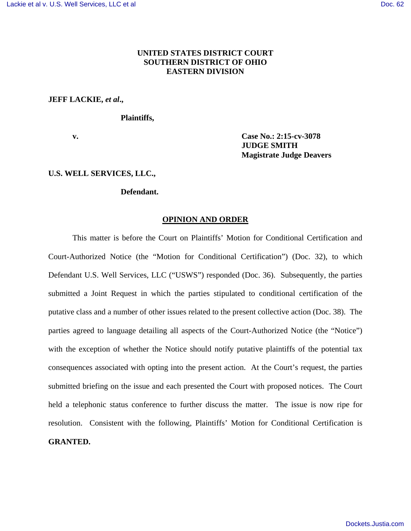# **UNITED STATES DISTRICT COURT SOUTHERN DISTRICT OF OHIO EASTERN DIVISION**

### **JEFF LACKIE,** *et al***.,**

### **Plaintiffs,**

**v. Case No.: 2:15-cv-3078 JUDGE SMITH Magistrate Judge Deavers**

#### **U.S. WELL SERVICES, LLC.,**

### **Defendant.**

#### **OPINION AND ORDER**

This matter is before the Court on Plaintiffs' Motion for Conditional Certification and Court-Authorized Notice (the "Motion for Conditional Certification") (Doc. 32), to which Defendant U.S. Well Services, LLC ("USWS") responded (Doc. 36). Subsequently, the parties submitted a Joint Request in which the parties stipulated to conditional certification of the putative class and a number of other issues related to the present collective action (Doc. 38). The parties agreed to language detailing all aspects of the Court-Authorized Notice (the "Notice") with the exception of whether the Notice should notify putative plaintiffs of the potential tax consequences associated with opting into the present action. At the Court's request, the parties submitted briefing on the issue and each presented the Court with proposed notices. The Court held a telephonic status conference to further discuss the matter. The issue is now ripe for resolution. Consistent with the following, Plaintiffs' Motion for Conditional Certification is **GRANTED.**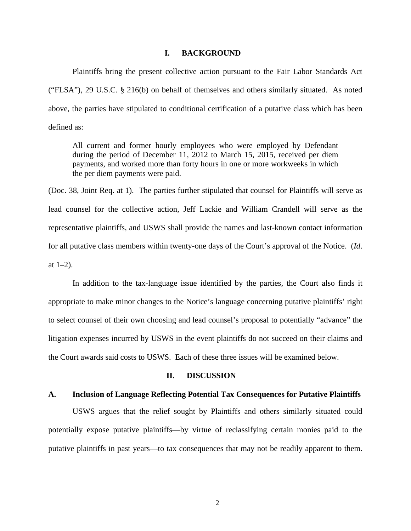#### **I. BACKGROUND**

Plaintiffs bring the present collective action pursuant to the Fair Labor Standards Act ("FLSA"), 29 U.S.C. § 216(b) on behalf of themselves and others similarly situated. As noted above, the parties have stipulated to conditional certification of a putative class which has been defined as:

All current and former hourly employees who were employed by Defendant during the period of December 11, 2012 to March 15, 2015, received per diem payments, and worked more than forty hours in one or more workweeks in which the per diem payments were paid.

(Doc. 38, Joint Req. at 1). The parties further stipulated that counsel for Plaintiffs will serve as lead counsel for the collective action, Jeff Lackie and William Crandell will serve as the representative plaintiffs, and USWS shall provide the names and last-known contact information for all putative class members within twenty-one days of the Court's approval of the Notice. (*Id*. at  $1-2$ ).

 In addition to the tax-language issue identified by the parties, the Court also finds it appropriate to make minor changes to the Notice's language concerning putative plaintiffs' right to select counsel of their own choosing and lead counsel's proposal to potentially "advance" the litigation expenses incurred by USWS in the event plaintiffs do not succeed on their claims and the Court awards said costs to USWS. Each of these three issues will be examined below.

#### **II. DISCUSSION**

## **A. Inclusion of Language Reflecting Potential Tax Consequences for Putative Plaintiffs**

USWS argues that the relief sought by Plaintiffs and others similarly situated could potentially expose putative plaintiffs—by virtue of reclassifying certain monies paid to the putative plaintiffs in past years—to tax consequences that may not be readily apparent to them.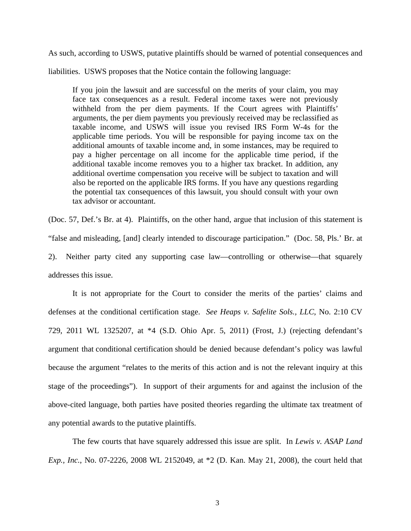As such, according to USWS, putative plaintiffs should be warned of potential consequences and

liabilities. USWS proposes that the Notice contain the following language:

If you join the lawsuit and are successful on the merits of your claim, you may face tax consequences as a result. Federal income taxes were not previously withheld from the per diem payments. If the Court agrees with Plaintiffs' arguments, the per diem payments you previously received may be reclassified as taxable income, and USWS will issue you revised IRS Form W-4s for the applicable time periods. You will be responsible for paying income tax on the additional amounts of taxable income and, in some instances, may be required to pay a higher percentage on all income for the applicable time period, if the additional taxable income removes you to a higher tax bracket. In addition, any additional overtime compensation you receive will be subject to taxation and will also be reported on the applicable IRS forms. If you have any questions regarding the potential tax consequences of this lawsuit, you should consult with your own tax advisor or accountant.

(Doc. 57, Def.'s Br. at 4). Plaintiffs, on the other hand, argue that inclusion of this statement is "false and misleading, [and] clearly intended to discourage participation." (Doc. 58, Pls.' Br. at 2). Neither party cited any supporting case law—controlling or otherwise—that squarely addresses this issue.

It is not appropriate for the Court to consider the merits of the parties' claims and defenses at the conditional certification stage. *See Heaps v. Safelite Sols., LLC*, No. 2:10 CV 729, 2011 WL 1325207, at \*4 (S.D. Ohio Apr. 5, 2011) (Frost, J.) (rejecting defendant's argument that conditional certification should be denied because defendant's policy was lawful because the argument "relates to the merits of this action and is not the relevant inquiry at this stage of the proceedings"). In support of their arguments for and against the inclusion of the above-cited language, both parties have posited theories regarding the ultimate tax treatment of any potential awards to the putative plaintiffs.

The few courts that have squarely addressed this issue are split. In *Lewis v. ASAP Land Exp., Inc.*, No. 07-2226, 2008 WL 2152049, at \*2 (D. Kan. May 21, 2008), the court held that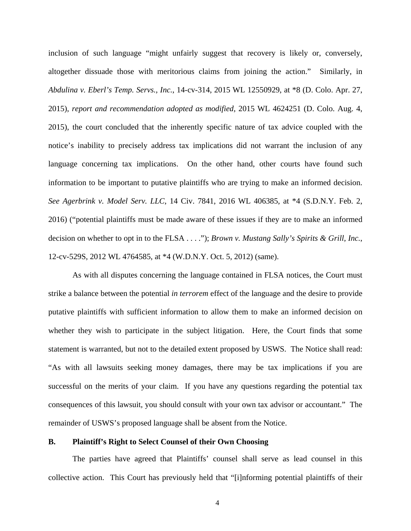inclusion of such language "might unfairly suggest that recovery is likely or, conversely, altogether dissuade those with meritorious claims from joining the action." Similarly, in *Abdulina v. Eberl's Temp. Servs., Inc.*, 14-cv-314, 2015 WL 12550929, at \*8 (D. Colo. Apr. 27, 2015), *report and recommendation adopted as modified*, 2015 WL 4624251 (D. Colo. Aug. 4, 2015), the court concluded that the inherently specific nature of tax advice coupled with the notice's inability to precisely address tax implications did not warrant the inclusion of any language concerning tax implications. On the other hand, other courts have found such information to be important to putative plaintiffs who are trying to make an informed decision. *See Agerbrink v. Model Serv. LLC*, 14 Civ. 7841, 2016 WL 406385, at \*4 (S.D.N.Y. Feb. 2, 2016) ("potential plaintiffs must be made aware of these issues if they are to make an informed decision on whether to opt in to the FLSA . . . ."); *Brown v. Mustang Sally's Spirits & Grill, Inc.*, 12-cv-529S, 2012 WL 4764585, at \*4 (W.D.N.Y. Oct. 5, 2012) (same).

As with all disputes concerning the language contained in FLSA notices, the Court must strike a balance between the potential *in terrorem* effect of the language and the desire to provide putative plaintiffs with sufficient information to allow them to make an informed decision on whether they wish to participate in the subject litigation. Here, the Court finds that some statement is warranted, but not to the detailed extent proposed by USWS. The Notice shall read: "As with all lawsuits seeking money damages, there may be tax implications if you are successful on the merits of your claim. If you have any questions regarding the potential tax consequences of this lawsuit, you should consult with your own tax advisor or accountant." The remainder of USWS's proposed language shall be absent from the Notice.

## **B. Plaintiff's Right to Select Counsel of their Own Choosing**

The parties have agreed that Plaintiffs' counsel shall serve as lead counsel in this collective action. This Court has previously held that "[i]nforming potential plaintiffs of their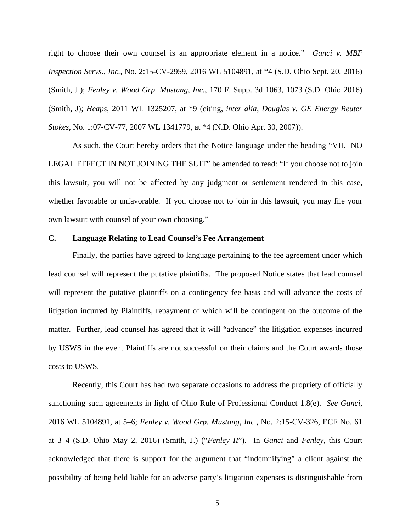right to choose their own counsel is an appropriate element in a notice." *Ganci v. MBF Inspection Servs., Inc.*, No. 2:15-CV-2959, 2016 WL 5104891, at \*4 (S.D. Ohio Sept. 20, 2016) (Smith, J.); *Fenley v. Wood Grp. Mustang, Inc.*, 170 F. Supp. 3d 1063, 1073 (S.D. Ohio 2016) (Smith, J); *Heaps*, 2011 WL 1325207, at \*9 (citing, *inter alia*, *Douglas v. GE Energy Reuter Stokes*, No. 1:07-CV-77, 2007 WL 1341779, at \*4 (N.D. Ohio Apr. 30, 2007)).

As such, the Court hereby orders that the Notice language under the heading "VII. NO LEGAL EFFECT IN NOT JOINING THE SUIT" be amended to read: "If you choose not to join this lawsuit, you will not be affected by any judgment or settlement rendered in this case, whether favorable or unfavorable. If you choose not to join in this lawsuit, you may file your own lawsuit with counsel of your own choosing."

#### **C. Language Relating to Lead Counsel's Fee Arrangement**

Finally, the parties have agreed to language pertaining to the fee agreement under which lead counsel will represent the putative plaintiffs. The proposed Notice states that lead counsel will represent the putative plaintiffs on a contingency fee basis and will advance the costs of litigation incurred by Plaintiffs, repayment of which will be contingent on the outcome of the matter. Further, lead counsel has agreed that it will "advance" the litigation expenses incurred by USWS in the event Plaintiffs are not successful on their claims and the Court awards those costs to USWS.

Recently, this Court has had two separate occasions to address the propriety of officially sanctioning such agreements in light of Ohio Rule of Professional Conduct 1.8(e). *See Ganci*, 2016 WL 5104891, at 5–6; *Fenley v. Wood Grp. Mustang, Inc.*, No. 2:15-CV-326, ECF No. 61 at 3–4 (S.D. Ohio May 2, 2016) (Smith, J.) ("*Fenley II*"). In *Ganci* and *Fenley*, this Court acknowledged that there is support for the argument that "indemnifying" a client against the possibility of being held liable for an adverse party's litigation expenses is distinguishable from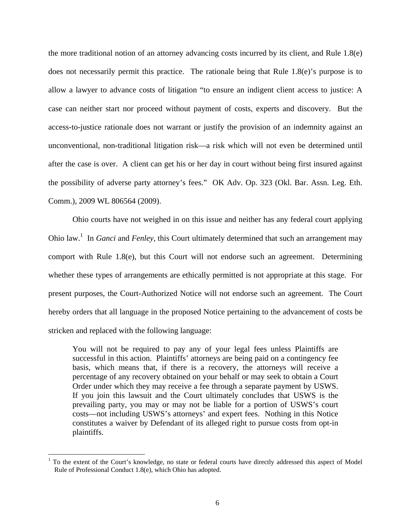the more traditional notion of an attorney advancing costs incurred by its client, and Rule 1.8(e) does not necessarily permit this practice. The rationale being that Rule 1.8(e)'s purpose is to allow a lawyer to advance costs of litigation "to ensure an indigent client access to justice: A case can neither start nor proceed without payment of costs, experts and discovery. But the access-to-justice rationale does not warrant or justify the provision of an indemnity against an unconventional, non-traditional litigation risk—a risk which will not even be determined until after the case is over. A client can get his or her day in court without being first insured against the possibility of adverse party attorney's fees." OK Adv. Op. 323 (Okl. Bar. Assn. Leg. Eth. Comm.), 2009 WL 806564 (2009).

Ohio courts have not weighed in on this issue and neither has any federal court applying Ohio law.<sup>1</sup> In *Ganci* and *Fenley*, this Court ultimately determined that such an arrangement may comport with Rule 1.8(e), but this Court will not endorse such an agreement. Determining whether these types of arrangements are ethically permitted is not appropriate at this stage. For present purposes, the Court-Authorized Notice will not endorse such an agreement. The Court hereby orders that all language in the proposed Notice pertaining to the advancement of costs be stricken and replaced with the following language:

You will not be required to pay any of your legal fees unless Plaintiffs are successful in this action. Plaintiffs' attorneys are being paid on a contingency fee basis, which means that, if there is a recovery, the attorneys will receive a percentage of any recovery obtained on your behalf or may seek to obtain a Court Order under which they may receive a fee through a separate payment by USWS. If you join this lawsuit and the Court ultimately concludes that USWS is the prevailing party, you may or may not be liable for a portion of USWS's court costs—not including USWS's attorneys' and expert fees. Nothing in this Notice constitutes a waiver by Defendant of its alleged right to pursue costs from opt-in plaintiffs.

 $\overline{a}$ 

<sup>&</sup>lt;sup>1</sup> To the extent of the Court's knowledge, no state or federal courts have directly addressed this aspect of Model Rule of Professional Conduct 1.8(e), which Ohio has adopted.